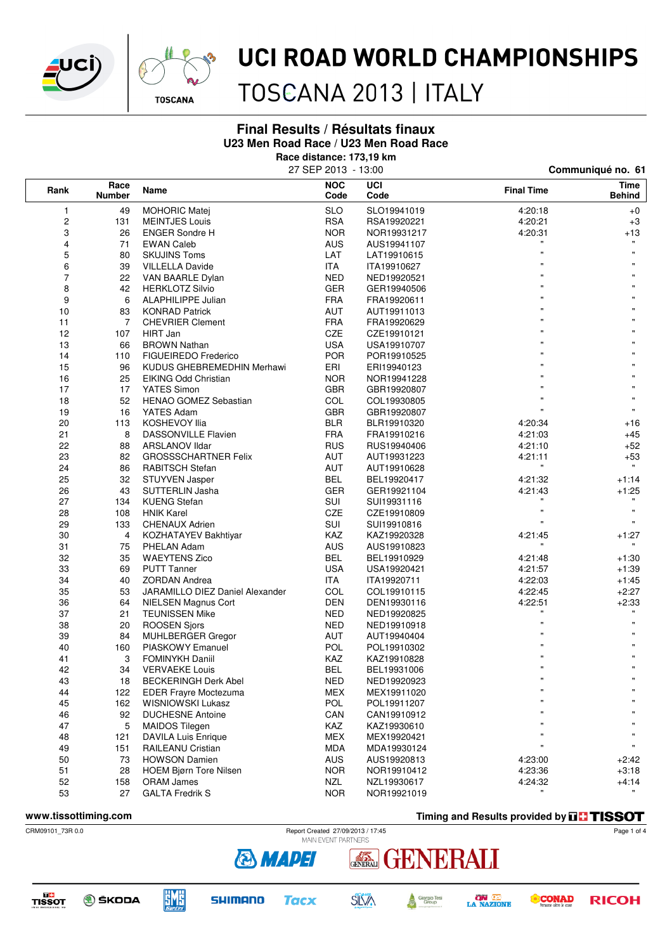



## UCI ROAD WORLD CHAMPIONSHIPS

TOSCANA 2013 | ITALY

### **Final Results / Résultats finaux U23 Men Road Race / U23 Men Road Race**

**Race distance: 173,19 km**

|                               |     | 27 SEP 2013 - 13:00             |                    | Communiqué no. 61 |                    |                              |  |
|-------------------------------|-----|---------------------------------|--------------------|-------------------|--------------------|------------------------------|--|
| Race<br>Rank<br><b>Number</b> |     | Name                            | <b>NOC</b><br>Code | UCI<br>Code       | <b>Final Time</b>  | <b>Time</b><br><b>Behind</b> |  |
| 1                             | 49  | <b>MOHORIC Matej</b>            | <b>SLO</b>         | SLO19941019       | 4:20:18            | $+0$                         |  |
| 2                             | 131 | <b>MEINTJES Louis</b>           | <b>RSA</b>         | RSA19920221       | 4:20:21            | $+3$                         |  |
| 3                             | 26  | <b>ENGER Sondre H</b>           | <b>NOR</b>         | NOR19931217       | 4:20:31            | $+13$                        |  |
| 4                             | 71  | <b>EWAN Caleb</b>               | <b>AUS</b>         | AUS19941107       |                    |                              |  |
| 5                             | 80  | <b>SKUJINS Toms</b>             | LAT                | LAT19910615       | $\mathbf{u}$       |                              |  |
| 6                             | 39  | <b>VILLELLA Davide</b>          | <b>ITA</b>         | ITA19910627       | 'n,                |                              |  |
| 7                             | 22  | VAN BAARLE Dylan                | <b>NED</b>         | NED19920521       |                    |                              |  |
| 8                             | 42  | <b>HERKLOTZ Silvio</b>          | <b>GER</b>         | GER19940506       |                    |                              |  |
| 9                             | 6   | ALAPHILIPPE Julian              | <b>FRA</b>         | FRA19920611       | $\mathbf{u}$       |                              |  |
| 10                            | 83  | <b>KONRAD Patrick</b>           | AUT                | AUT19911013       |                    |                              |  |
| 11                            | 7   | <b>CHEVRIER Clement</b>         | <b>FRA</b>         | FRA19920629       |                    |                              |  |
| 12                            | 107 | <b>HIRT Jan</b>                 | CZE                | CZE19910121       | $\mathbf{u}$       |                              |  |
| 13                            | 66  | <b>BROWN Nathan</b>             | USA                | USA19910707       |                    |                              |  |
| 14                            | 110 | <b>FIGUEIREDO Frederico</b>     | <b>POR</b>         | POR19910525       |                    |                              |  |
| 15                            | 96  | KUDUS GHEBREMEDHIN Merhawi      | ERI                | ERI19940123       |                    |                              |  |
| 16                            | 25  | EIKING Odd Christian            | <b>NOR</b>         | NOR19941228       |                    |                              |  |
| 17                            | 17  | YATES Simon                     | GBR                | GBR19920807       |                    |                              |  |
| 18                            | 52  | HENAO GOMEZ Sebastian           | COL                | COL19930805       |                    | $\mathbf{u}$                 |  |
| 19                            | 16  | YATES Adam                      | <b>GBR</b>         | GBR19920807       |                    |                              |  |
| 20                            | 113 | <b>KOSHEVOY Ilia</b>            | <b>BLR</b>         | BLR19910320       | 4:20:34            | $+16$                        |  |
| 21                            | 8   | <b>DASSONVILLE Flavien</b>      | <b>FRA</b>         | FRA19910216       | 4:21:03            | $+45$                        |  |
| 22                            | 88  | <b>ARSLANOV Ildar</b>           | <b>RUS</b>         | RUS19940406       | 4:21:10            | $+52$                        |  |
| 23                            | 82  | <b>GROSSSCHARTNER Felix</b>     | <b>AUT</b>         | AUT19931223       | 4:21:11            | $+53$                        |  |
| 24                            | 86  | <b>RABITSCH Stefan</b>          | <b>AUT</b>         | AUT19910628       |                    | $\mathbf{u}$                 |  |
| 25                            | 32  | STUYVEN Jasper                  | <b>BEL</b>         | BEL19920417       | 4:21:32            | $+1:14$                      |  |
| 26                            | 43  | <b>SUTTERLIN Jasha</b>          | <b>GER</b>         | GER19921104       | 4:21:43            | $+1:25$                      |  |
| 27                            | 134 | <b>KUENG Stefan</b>             | <b>SUI</b>         | SUI19931116       |                    |                              |  |
| 28                            | 108 | <b>HNIK Karel</b>               | CZE                | CZE19910809       | $\mathbf{u}$       | $\mathbf{u}$                 |  |
| 29                            | 133 | <b>CHENAUX Adrien</b>           | <b>SUI</b>         | SUI19910816       | $\mathbf{u}$       | $\mathbf{H}$                 |  |
| 30                            | 4   | KOZHATAYEV Bakhtiyar            | KAZ                | KAZ19920328       | 4:21:45            | +1:27                        |  |
| 31                            | 75  | PHELAN Adam                     | <b>AUS</b>         | AUS19910823       | $\pmb{\mathsf{H}}$ |                              |  |
| 32                            | 35  | <b>WAEYTENS Zico</b>            | <b>BEL</b>         | BEL19910929       | 4:21:48            | +1:30                        |  |
| 33                            | 69  | <b>PUTT Tanner</b>              | <b>USA</b>         | USA19920421       | 4:21:57            | $+1:39$                      |  |
| 34                            | 40  | <b>ZORDAN Andrea</b>            | <b>ITA</b>         | ITA19920711       | 4:22:03            | +1:45                        |  |
| 35                            | 53  | JARAMILLO DIEZ Daniel Alexander | COL                | COL19910115       | 4:22:45            | $+2:27$                      |  |
| 36                            | 64  | <b>NIELSEN Magnus Cort</b>      | <b>DEN</b>         | DEN19930116       | 4:22:51            | $+2:33$                      |  |
| 37                            | 21  | <b>TEUNISSEN Mike</b>           | NED                | NED19920825       |                    |                              |  |
| 38                            | 20  | <b>ROOSEN Sjors</b>             | <b>NED</b>         | NED19910918       | $\mathbf{u}$       | $\mathbf{u}$                 |  |
| 39                            | 84  | MUHLBERGER Gregor               | AUT                | AUT19940404       |                    |                              |  |
| 40                            | 160 | <b>PIASKOWY Emanuel</b>         | <b>POL</b>         | POL19910302       |                    |                              |  |
| 41                            | 3   | <b>FOMINYKH Daniil</b>          | KAZ                | KAZ19910828       |                    | $\mathbf{H}$                 |  |
| 42                            | 34  | <b>VERVAEKE Louis</b>           | <b>BEL</b>         | BEL19931006       | $\mathbf{u}$       | $\mathbf{u}$                 |  |
| 43                            | 18  | <b>BECKERINGH Derk Abel</b>     | <b>NED</b>         | NED19920923       |                    |                              |  |
| 44                            | 122 | <b>EDER Frayre Moctezuma</b>    | <b>MEX</b>         | MEX19911020       |                    |                              |  |
| 45                            | 162 | WISNIOWSKI Lukasz               | POL                | POL19911207       |                    |                              |  |
| 46                            | 92  | <b>DUCHESNE Antoine</b>         | CAN                | CAN19910912       | $\mathbf{u}$       |                              |  |
| 47                            | 5   | <b>MAIDOS Tilegen</b>           | <b>KAZ</b>         | KAZ19930610       | $\mathbf{u}$       |                              |  |
| 48                            | 121 | <b>DAVILA Luis Enrique</b>      | <b>MEX</b>         | MEX19920421       | $\mathbf{u}$       |                              |  |
| 49                            | 151 | RAILEANU Cristian               | <b>MDA</b>         | MDA19930124       | $\mathbf{u}$       | $\pmb{\mathsf{H}}$           |  |
| 50                            | 73  | <b>HOWSON Damien</b>            | AUS                | AUS19920813       | 4:23:00            | +2:42                        |  |
| 51                            | 28  | <b>HOEM Bjørn Tore Nilsen</b>   | <b>NOR</b>         | NOR19910412       | 4:23:36            | $+3:18$                      |  |
| 52                            | 158 | <b>ORAM James</b>               | NZL                | NZL19930617       | 4:24:32            | $+4:14$                      |  |
| 53                            | 27  | <b>GALTA Fredrik S</b>          | <b>NOR</b>         | NOR19921019       |                    |                              |  |
|                               |     |                                 |                    |                   |                    |                              |  |

**www.tissottiming.com Timing and Results provided by THSSOT** 



Page 1 of 4







**SHIMANO Tacx** 



GENERALI

**ON LE**<br>LA NAZIONE Giorgio Tesi<br>Group

ENERALI

**CONAD RICOH**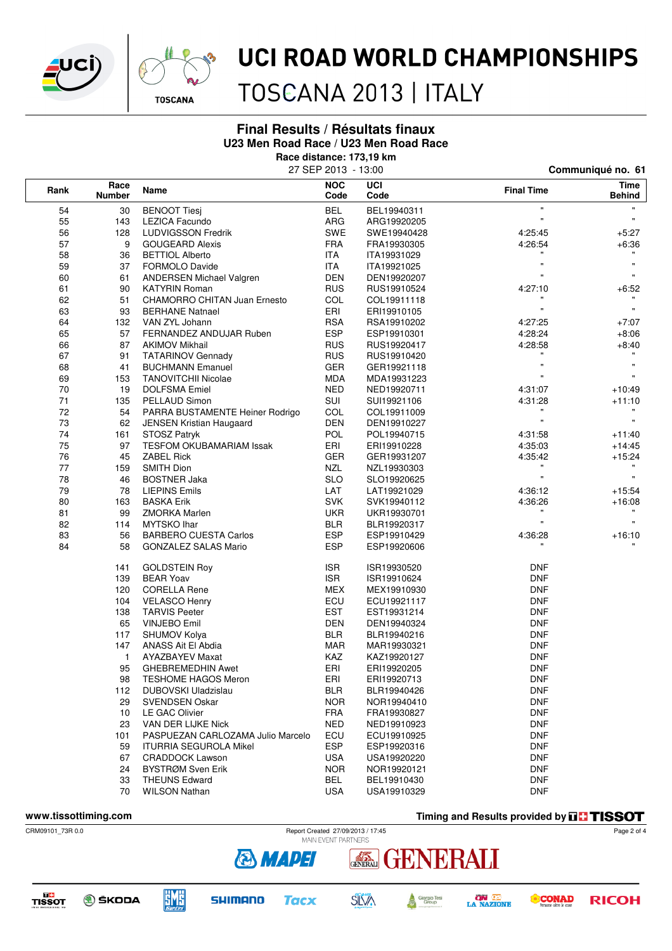



## UCI ROAD WORLD CHAMPIONSHIPS

TOSCANA 2013 | ITALY

### **Final Results / Résultats finaux U23 Men Road Race / U23 Men Road Race**

**Race distance: 173,19 km**

| <b>NOC</b><br>UCI<br>Race                                             | Time                                 |
|-----------------------------------------------------------------------|--------------------------------------|
| <b>Final Time</b><br>Rank<br>Name<br>Code<br><b>Number</b><br>Code    | <b>Behind</b>                        |
| <b>BEL</b><br>54<br>30<br><b>BENOOT Tiesj</b><br>BEL19940311          | $\pmb{\mathfrak{m}}$<br>$\mathbf{H}$ |
| 55<br>ARG<br>143<br>LEZICA Facundo<br>ARG19920205                     | $\mathbf{u}$<br>$\mathbf{H}$         |
| 56<br>SWE<br>128<br><b>LUDVIGSSON Fredrik</b><br>SWE19940428          | 4:25:45<br>$+5:27$                   |
| 57<br><b>FRA</b><br>9<br><b>GOUGEARD Alexis</b><br>FRA19930305        | 4:26:54<br>$+6:36$                   |
| 58<br>36<br><b>BETTIOL Alberto</b><br>ITA.<br>ITA19931029             |                                      |
| 59<br>ITA<br>37<br><b>FORMOLO Davide</b><br>ITA19921025               | $\mathbf{u}$<br>$\mathbf{H}$         |
| 60<br><b>DEN</b><br>61<br>ANDERSEN Michael Valgren<br>DEN19920207     | $\mathbf{u}$<br>$\mathbf{u}$         |
| 61<br><b>RUS</b><br>90<br><b>KATYRIN Roman</b><br>RUS19910524         | 4:27:10<br>+6:52                     |
| 62<br>51<br>COL<br><b>CHAMORRO CHITAN Juan Ernesto</b><br>COL19911118 |                                      |
| 63<br>ERI<br>93<br><b>BERHANE Natnael</b><br>ERI19910105              | $\mathbf{u}$<br>$\mathbf{u}$         |
| 64<br><b>RSA</b><br>132<br>VAN ZYL Johann<br>RSA19910202              | 4:27:25<br>$+7:07$                   |
| <b>ESP</b><br>65<br>57<br>FERNANDEZ ANDUJAR Ruben<br>ESP19910301      | 4:28:24<br>$+8:06$                   |
| 66<br>87<br><b>AKIMOV Mikhail</b><br><b>RUS</b><br>RUS19920417        | 4:28:58<br>$+8:40$                   |
| 67<br><b>RUS</b><br>91<br><b>TATARINOV Gennady</b><br>RUS19910420     |                                      |
| 68<br><b>GER</b><br>41<br><b>BUCHMANN Emanuel</b><br>GER19921118      | $\pmb{\mathfrak{m}}$<br>$\mathbf{H}$ |
| 69<br>153<br><b>TANOVITCHII Nicolae</b><br><b>MDA</b><br>MDA19931223  | $\mathbf{u}$<br>$\mathbf{u}$         |
| 70<br>19<br><b>DOLFSMA Emiel</b><br><b>NED</b><br>NED19920711         | 4:31:07<br>$+10:49$                  |
| 71<br>SUI<br>135<br>PELLAUD Simon<br>SUI19921106                      | 4:31:28<br>$+11:10$                  |
| 72<br>COL<br>54<br>PARRA BUSTAMENTE Heiner Rodrigo<br>COL19911009     |                                      |
| 73<br>62<br><b>DEN</b><br>JENSEN Kristian Haugaard<br>DEN19910227     | $\mathbf{u}$<br>$\mathbf{H}$         |
| $74\,$<br>POL<br>161<br>STOSZ Patryk<br>POL19940715                   | 4:31:58<br>$+11:40$                  |
| 75<br>97<br>ERI<br><b>TESFOM OKUBAMARIAM Issak</b><br>ERI19910228     | 4:35:03<br>$+14:45$                  |
| 76<br><b>ZABEL Rick</b><br>45<br><b>GER</b><br>GER19931207            | 4:35:42<br>$+15:24$                  |
| $77\,$<br><b>NZL</b><br>159<br><b>SMITH Dion</b><br>NZL19930303       | $\mathbf{u}$                         |
| 78<br><b>SLO</b><br>46<br><b>BOSTNER Jaka</b><br>SLO19920625          | $\mathbf{u}$<br>$\mathbf{u}$         |
| 79<br>78<br>LAT<br><b>LIEPINS Emils</b><br>LAT19921029                | 4:36:12<br>$+15:54$                  |
| 80<br><b>SVK</b><br>163<br><b>BASKA Erik</b><br>SVK19940112           | 4:36:26<br>$+16:08$                  |
| 81<br>99<br><b>UKR</b><br><b>ZMORKA Marlen</b><br>UKR19930701         |                                      |
| 82<br>114<br><b>MYTSKO</b> Ihar<br>BLR<br>BLR19920317                 | $\mathbf{u}$<br>$\mathbf{H}$         |
| 83<br><b>ESP</b><br>56<br><b>BARBERO CUESTA Carlos</b><br>ESP19910429 | 4:36:28<br>$+16:10$                  |
| 84<br><b>ESP</b><br>58<br><b>GONZALEZ SALAS Mario</b><br>ESP19920606  | $\mathbf{u}$                         |
| <b>ISR</b><br><b>GOLDSTEIN Roy</b><br>141<br>ISR19930520              | <b>DNF</b>                           |
| 139<br><b>BEAR Yoav</b><br><b>ISR</b><br>ISR19910624                  | <b>DNF</b>                           |
| <b>CORELLA Rene</b><br>MEX<br>120<br>MEX19910930                      | <b>DNF</b>                           |
| ECU<br><b>VELASCO Henry</b><br>104<br>ECU19921117                     | <b>DNF</b>                           |
| <b>EST</b><br>138<br><b>TARVIS Peeter</b><br>EST19931214              | <b>DNF</b>                           |
| 65<br><b>VINJEBO Emil</b><br>DEN<br>DEN19940324                       | <b>DNF</b>                           |
| 117<br>SHUMOV Kolya<br><b>BLR</b><br>BLR19940216                      | <b>DNF</b>                           |
| 147<br>ANASS Ait El Abdia<br>MAR<br>MAR19930321                       | <b>DNF</b>                           |
| <b>AYAZBAYEV Maxat</b><br>1<br>KAZ<br>KAZ19920127                     | <b>DNF</b>                           |
| 95<br>ERI<br><b>GHEBREMEDHIN Awet</b><br>ERI19920205                  | <b>DNF</b>                           |
| <b>TESHOME HAGOS Meron</b><br>ERI<br>ERI19920713<br>98                | <b>DNF</b>                           |
| 112<br>DUBOVSKI Uladzislau<br><b>BLR</b><br>BLR19940426               | <b>DNF</b>                           |
| <b>SVENDSEN Oskar</b><br><b>NOR</b><br>29<br>NOR19940410              | <b>DNF</b>                           |
| <b>FRA</b><br>10<br>LE GAC Olivier<br>FRA19930827                     | <b>DNF</b>                           |
| 23<br>VAN DER LIJKE Nick<br>NED<br>NED19910923                        | <b>DNF</b>                           |
| ECU<br>PASPUEZAN CARLOZAMA Julio Marcelo<br>ECU19910925<br>101        | <b>DNF</b>                           |
| <b>ESP</b><br>59<br><b>ITURRIA SEGUROLA Mikel</b><br>ESP19920316      | <b>DNF</b>                           |
| <b>CRADDOCK Lawson</b><br><b>USA</b><br>67<br>USA19920220             | <b>DNF</b>                           |
| BYSTRØM Sven Erik<br><b>NOR</b><br>24<br>NOR19920121                  | <b>DNF</b>                           |
| <b>THEUNS Edward</b><br>BEL<br>33<br>BEL19910430                      | <b>DNF</b>                           |
| <b>WILSON Nathan</b><br><b>USA</b><br>70<br>USA19910329               | <b>DNF</b>                           |

**www.tissottiming.com Timing and Results provided by THSSOT** CRM09101\_73R 0.0 Report Created 27/09/2013 / 17:45

ENERALI



**DC**<br>TISSOT







GENERALI





Page 2 of 4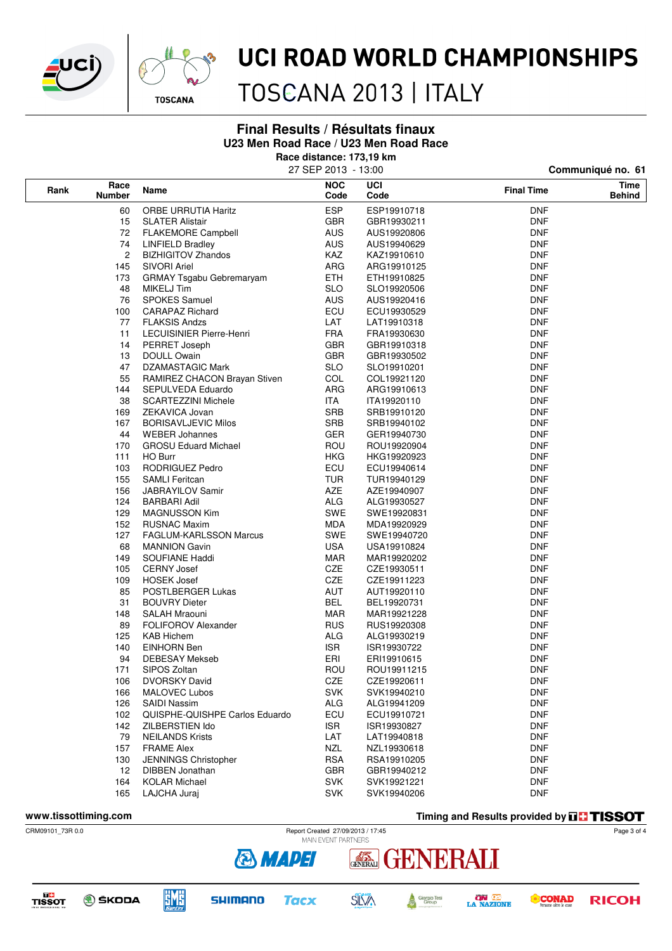



## UCI ROAD WORLD CHAMPIONSHIPS

TOSCANA 2013 | ITALY

### **Final Results / Résultats finaux U23 Men Road Race / U23 Men Road Race**

**Race distance: 173,19 km**

|      |                       |                                | 27 SEP 2013 - 13:00 |             | Communiqué no. 61 |                       |  |  |
|------|-----------------------|--------------------------------|---------------------|-------------|-------------------|-----------------------|--|--|
| Rank | Race<br><b>Number</b> | Name                           | <b>NOC</b><br>Code  | UCI<br>Code | <b>Final Time</b> | Time<br><b>Behind</b> |  |  |
| 60   |                       | <b>ORBE URRUTIA Haritz</b>     | <b>ESP</b>          | ESP19910718 | <b>DNF</b>        |                       |  |  |
|      | 15                    | <b>SLATER Alistair</b>         | <b>GBR</b>          | GBR19930211 | <b>DNF</b>        |                       |  |  |
|      | 72                    | <b>FLAKEMORE Campbell</b>      | <b>AUS</b>          | AUS19920806 | <b>DNF</b>        |                       |  |  |
| 74   |                       | <b>LINFIELD Bradley</b>        | <b>AUS</b>          | AUS19940629 | <b>DNF</b>        |                       |  |  |
| 2    |                       | <b>BIZHIGITOV Zhandos</b>      | KAZ                 | KAZ19910610 | <b>DNF</b>        |                       |  |  |
|      | 145                   | <b>SIVORI Ariel</b>            | ARG                 | ARG19910125 | <b>DNF</b>        |                       |  |  |
|      | 173                   | GRMAY Tsgabu Gebremaryam       | ETH.                | ETH19910825 | <b>DNF</b>        |                       |  |  |
|      | 48                    | MIKELJ Tim                     | <b>SLO</b>          | SLO19920506 | <b>DNF</b>        |                       |  |  |
|      | 76                    | <b>SPOKES Samuel</b>           | <b>AUS</b>          | AUS19920416 | <b>DNF</b>        |                       |  |  |
|      | 100                   | <b>CARAPAZ Richard</b>         | ECU                 | ECU19930529 | <b>DNF</b>        |                       |  |  |
|      | 77                    | <b>FLAKSIS Andzs</b>           | LAT                 | LAT19910318 | <b>DNF</b>        |                       |  |  |
|      | 11                    | LECUISINIER Pierre-Henri       | <b>FRA</b>          | FRA19930630 | <b>DNF</b>        |                       |  |  |
|      | 14                    | PERRET Joseph                  | <b>GBR</b>          | GBR19910318 | <b>DNF</b>        |                       |  |  |
|      | 13                    | <b>DOULL Owain</b>             | <b>GBR</b>          | GBR19930502 | <b>DNF</b>        |                       |  |  |
|      | 47                    | DZAMASTAGIC Mark               | <b>SLO</b>          | SLO19910201 | <b>DNF</b>        |                       |  |  |
|      | 55                    | RAMIREZ CHACON Brayan Stiven   | COL                 | COL19921120 | <b>DNF</b>        |                       |  |  |
|      | 144                   | SEPULVEDA Eduardo              | ARG                 | ARG19910613 | <b>DNF</b>        |                       |  |  |
|      | 38                    | <b>SCARTEZZINI Michele</b>     | ITA                 | ITA19920110 | <b>DNF</b>        |                       |  |  |
|      | 169                   | ZEKAVICA Jovan                 | <b>SRB</b>          | SRB19910120 | DNF               |                       |  |  |
|      | 167                   | <b>BORISAVLJEVIC Milos</b>     | <b>SRB</b>          | SRB19940102 | <b>DNF</b>        |                       |  |  |
|      | 44                    | <b>WEBER Johannes</b>          | <b>GER</b>          | GER19940730 | <b>DNF</b>        |                       |  |  |
|      | 170                   | <b>GROSU Eduard Michael</b>    | ROU                 | ROU19920904 | <b>DNF</b>        |                       |  |  |
|      | 111                   | <b>HO Burr</b>                 | <b>HKG</b>          | HKG19920923 | <b>DNF</b>        |                       |  |  |
|      | 103                   | RODRIGUEZ Pedro                | ECU                 | ECU19940614 | <b>DNF</b>        |                       |  |  |
|      | 155                   | <b>SAMLI Feritcan</b>          | <b>TUR</b>          | TUR19940129 | <b>DNF</b>        |                       |  |  |
|      | 156                   | <b>JABRAYILOV Samir</b>        | AZE                 | AZE19940907 | <b>DNF</b>        |                       |  |  |
|      | 124                   | <b>BARBARI Adil</b>            | <b>ALG</b>          | ALG19930527 | <b>DNF</b>        |                       |  |  |
|      | 129                   | <b>MAGNUSSON Kim</b>           | SWE                 | SWE19920831 | <b>DNF</b>        |                       |  |  |
|      | 152                   | <b>RUSNAC Maxim</b>            | MDA                 | MDA19920929 | <b>DNF</b>        |                       |  |  |
|      | 127                   | <b>FAGLUM-KARLSSON Marcus</b>  | SWE                 | SWE19940720 | <b>DNF</b>        |                       |  |  |
|      | 68                    | <b>MANNION Gavin</b>           | <b>USA</b>          | USA19910824 | <b>DNF</b>        |                       |  |  |
|      | 149                   | SOUFIANE Haddi                 | MAR                 | MAR19920202 | DNF               |                       |  |  |
|      | 105                   | <b>CERNY Josef</b>             | CZE                 | CZE19930511 | <b>DNF</b>        |                       |  |  |
|      | 109                   | <b>HOSEK Josef</b>             | CZE                 | CZE19911223 | <b>DNF</b>        |                       |  |  |
|      | 85                    | POSTLBERGER Lukas              | AUT                 | AUT19920110 | DNF               |                       |  |  |
|      | 31                    | <b>BOUVRY Dieter</b>           | <b>BEL</b>          | BEL19920731 | <b>DNF</b>        |                       |  |  |
|      | 148                   | SALAH Mraouni                  | MAR                 | MAR19921228 | DNF               |                       |  |  |
|      | 89                    | <b>FOLIFOROV Alexander</b>     | <b>RUS</b>          | RUS19920308 | <b>DNF</b>        |                       |  |  |
|      | 125                   | <b>KAB Hichem</b>              | <b>ALG</b>          | ALG19930219 | <b>DNF</b>        |                       |  |  |
|      | 140                   | <b>EINHORN Ben</b>             | ISR.                | ISR19930722 | <b>DNF</b>        |                       |  |  |
|      | 94                    | <b>DEBESAY Mekseb</b>          | ERI                 | ERI19910615 | <b>DNF</b>        |                       |  |  |
|      | 171                   | SIPOS Zoltan                   | ROU                 | ROU19911215 | <b>DNF</b>        |                       |  |  |
|      | 106                   | <b>DVORSKY David</b>           | CZE                 | CZE19920611 | <b>DNF</b>        |                       |  |  |
|      | 166                   | <b>MALOVEC Lubos</b>           | <b>SVK</b>          | SVK19940210 | <b>DNF</b>        |                       |  |  |
|      | 126                   | SAIDI Nassim                   | <b>ALG</b>          | ALG19941209 | DNF               |                       |  |  |
|      | 102                   | QUISPHE-QUISHPE Carlos Eduardo | ECU                 | ECU19910721 | <b>DNF</b>        |                       |  |  |
|      | 142                   | ZILBERSTIEN Ido                | <b>ISR</b>          | ISR19930827 | <b>DNF</b>        |                       |  |  |
|      | 79                    | <b>NEILANDS Krists</b>         | LAT                 | LAT19940818 | DNF               |                       |  |  |
|      | 157                   | <b>FRAME Alex</b>              | <b>NZL</b>          | NZL19930618 | <b>DNF</b>        |                       |  |  |
|      | 130                   | JENNINGS Christopher           | <b>RSA</b>          | RSA19910205 | DNF               |                       |  |  |
|      | 12                    | DIBBEN Jonathan                | <b>GBR</b>          | GBR19940212 | <b>DNF</b>        |                       |  |  |
|      | 164                   | <b>KOLAR Michael</b>           | <b>SVK</b>          | SVK19921221 | <b>DNF</b>        |                       |  |  |
|      | 165                   | LAJCHA Juraj                   | <b>SVK</b>          | SVK19940206 | <b>DNF</b>        |                       |  |  |

**www.tissottiming.com Timing and Results provided by THSSOT** 















ENERALI



Page 3 of 4